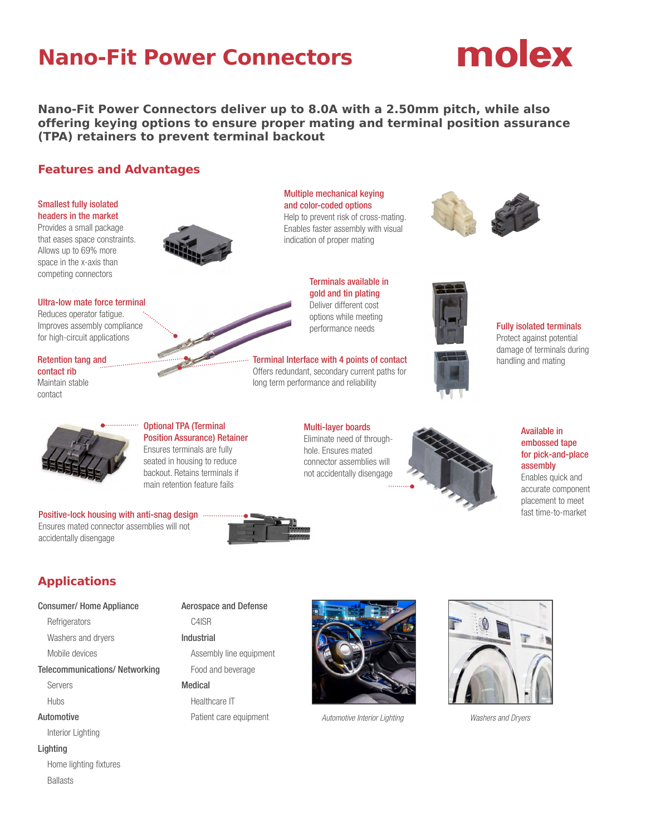# **Nano-Fit Power Connectors**



**Nano-Fit Power Connectors deliver up to 8.0A with a 2.50mm pitch, while also offering keying options to ensure proper mating and terminal position assurance (TPA) retainers to prevent terminal backout**

# **Features and Advantages**

## Smallest fully isolated headers in the market

Provides a small package that eases space constraints. Allows up to 69% more space in the x-axis than competing connectors



Ultra-low mate force terminal

Reduces operator fatigue. Improves assembly compliance for high-circuit applications

Retention tang and contact rib Maintain stable contact



Positive-lock housing with anti-snag design .... Ensures mated connector assemblies will not

# Optional TPA (Terminal Position Assurance) Retainer Ensures terminals are fully seated in housing to reduce

backout. Retains terminals if main retention feature fails





Terminal Interface with 4 points of contact Offers redundant, secondary current paths for long term performance and reliability

Multi-layer boards Eliminate need of throughhole. Ensures mated connector assemblies will not accidentally disengage









accurate component placement to meet

fast time-to-market

# **Applications**

accidentally disengage

# Consumer/ Home Appliance

**Refrigerators** 

Washers and dryers

Mobile devices

Telecommunications/ Networking

Servers

Hubs

Automotive

Interior Lighting

### Lighting

 Home lighting fixtures Ballasts

# Aerospace and Defense

C4ISR

Industrial

Assembly line equipment Food and beverage

# Medical

Healthcare IT Patient care equipment *Automotive Interior Lighting Washers and Dryers*